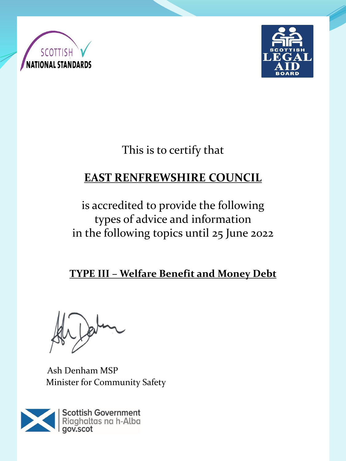



# This is to certify that

## **EAST RENFREWSHIRE COUNCIL**

## is accredited to provide the following types of advice and information in the following topics until 25 June 2022

**TYPE III – Welfare Benefit and Money Debt** 

Ash Denham MSP Minister for Community Safety

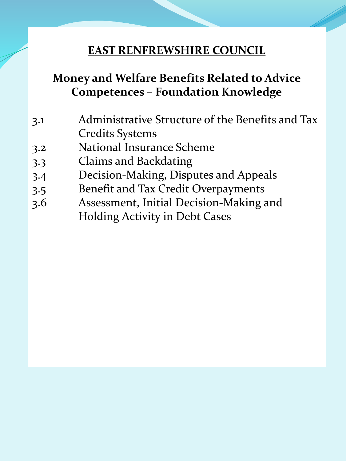#### **EAST RENFREWSHIRE COUNCIL**

### **Money and Welfare Benefits Related to Advice Competences – Foundation Knowledge**

- 3.1 Administrative Structure of the Benefits and Tax Credits Systems
- 3.2 National Insurance Scheme
- 3.3 Claims and Backdating
- 3.4 Decision-Making, Disputes and Appeals
- 3.5 Benefit and Tax Credit Overpayments
- 3.6 Assessment, Initial Decision-Making and Holding Activity in Debt Cases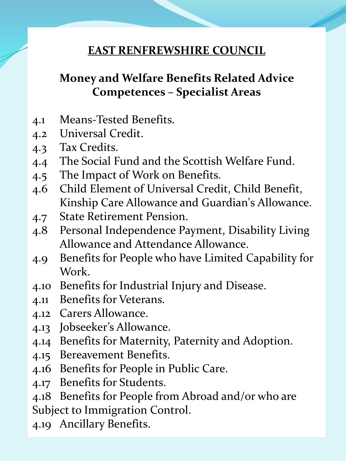#### **EAST RENFREWSHIRE COUNCIL**

## **Money and Welfare Benefits Related Advice Competences – Specialist Areas**

- 4.1 Means-Tested Benefits.
- 4.2 Universal Credit.
- 4.3 Tax Credits.
- 4.4 The Social Fund and the Scottish Welfare Fund.
- 4.5 The Impact of Work on Benefits.
- 4.6 Child Element of Universal Credit, Child Benefit, Kinship Care Allowance and Guardian's Allowance.
- 4.7 State Retirement Pension.
- 4.8 Personal Independence Payment, Disability Living Allowance and Attendance Allowance.
- 4.9 Benefits for People who have Limited Capability for Work.
- 4.10 Benefits for Industrial Injury and Disease.
- 4.11 Benefits for Veterans.
- 4.12 Carers Allowance.
- 4.13 Jobseeker's Allowance.
- 4.14 Benefits for Maternity, Paternity and Adoption.
- 4.15 Bereavement Benefits.
- 4.16 Benefits for People in Public Care.
- 4.17 Benefits for Students.
- 4.18 Benefits for People from Abroad and/or who are
- Subject to Immigration Control.
- 4.19 Ancillary Benefits.